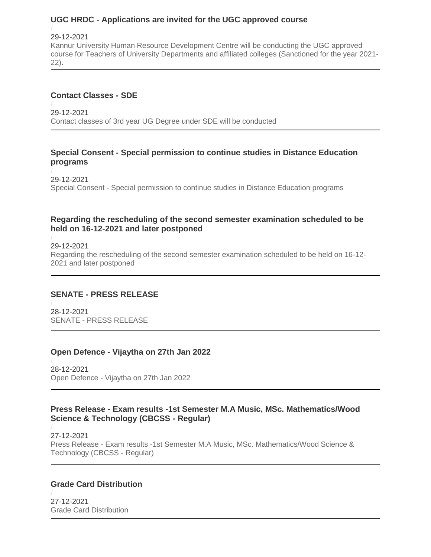### **UGC HRDC - Applications are invited for the UGC approved course**

#### 29-12-2021

[Kannur University Human Resource Development Centre will be conducting the UGC approved](https://kannuruniversity.ac.in/media/documents/press_release21-22_lib_sc-converted.pdf)  [course for Teachers of University Departments and affiliated colleges \(Sanctioned for the year 2021-](https://kannuruniversity.ac.in/media/documents/press_release21-22_lib_sc-converted.pdf) [22\).](https://kannuruniversity.ac.in/media/documents/press_release21-22_lib_sc-converted.pdf)

#### **Contact Classes - SDE**

29-12-2021 [Contact classes of 3rd year UG Degree under SDE will be conducted](https://kannuruniversity.ac.in/media/documents/Contact_class_o3cRsrh.pdf)

#### **Special Consent - Special permission to continue studies in Distance Education programs**

29-12-2021 Special Consent - [Special permission to continue studies in Distance Education programs](https://kannuruniversity.ac.in/media/documents/Special_consent_1.pdf)

#### **Regarding the rescheduling of the second semester examination scheduled to be held on 16-12-2021 and later postponed**

# 29-12-2021 [Regarding the rescheduling of the second semester examination scheduled to be held on 16-12-](https://kannuruniversity.ac.in/media/documents/Knr_Uty_Exam__Press_Release_28.12.2021_1.pdf) [2021 and later postponed](https://kannuruniversity.ac.in/media/documents/Knr_Uty_Exam__Press_Release_28.12.2021_1.pdf)

### **SENATE - PRESS RELEASE**

28-12-2021 SENATE - [PRESS RELEASE](https://kannuruniversity.ac.in/media/documents/press_release_28-12-2021_senate-converted.pdf)

### **Open Defence - Vijaytha on 27th Jan 2022**

28-12-2021 Open Defence - [Vijaytha on 27th Jan 2022](https://kannuruniversity.ac.in/media/documents/press-vijaytha_1.pdf)

#### **Press Release - Exam results -1st Semester M.A Music, MSc. Mathematics/Wood Science & Technology (CBCSS - Regular)**

27-12-2021 Press Release - [Exam results -1st Semester M.A Music, MSc. Mathematics/Wood Science &](https://kannuruniversity.ac.in/media/documents/27.12.2021i.pdf)  [Technology \(CBCSS -](https://kannuruniversity.ac.in/media/documents/27.12.2021i.pdf) Regular)

### **Grade Card Distribution**

27-12-2021 [Grade Card Distribution](https://kannuruniversity.ac.in/media/documents/Grade_Card_Distribution__30.12.2021.pdf)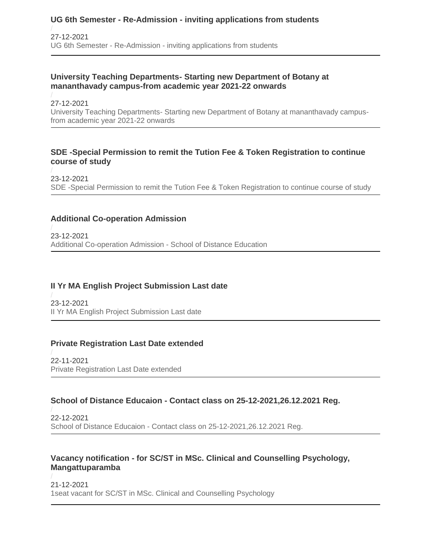# **UG 6th Semester - Re-Admission - inviting applications from students**

27-12-2021 UG 6th Semester - Re-Admission - [inviting applications from students](https://kannuruniversity.ac.in/media/documents/Circular_Re_Admission.pdf)

#### **University Teaching Departments- Starting new Department of Botany at mananthavady campus-from academic year 2021-22 onwards**

27-12-2021 University Teaching Departments- [Starting new Department of Botany at mananthavady campus](https://kannuruniversity.ac.in/media/documents/Acad_A2order.pdf)[from academic year 2021-22 onwards](https://kannuruniversity.ac.in/media/documents/Acad_A2order.pdf)

#### **SDE -Special Permission to remit the Tution Fee & Token Registration to continue course of study**

23-12-2021 [SDE -Special Permission to remit the Tution Fee & Token Registration to continue course of study](https://kannuruniversity.ac.in/media/documents/Token_regn_merged.pdf)

#### **Additional Co-operation Admission**

23-12-2021 [Additional Co-operation Admission -](https://kannuruniversity.ac.in/media/documents/Addln_co-op_Notfn_pUPilgg.pdf) School of Distance Education

#### **II Yr MA English Project Submission Last date**

23-12-2021 [II Yr MA English Project Submission Last date](https://kannuruniversity.ac.in/media/documents/II_yr_MA_English_Project.pdf)

#### **Private Registration Last Date extended**

22-11-2021 [Private Registration Last Date extended](https://kannuruniversity.ac.in/media/documents/private_date_extended_22-11-2021.pdf)

#### **School of Distance Educaion - Contact class on 25-12-2021,26.12.2021 Reg.**

22-12-2021 School of Distance Educaion - [Contact class on 25-12-2021,26.12.2021 Reg.](https://kannuruniversity.ac.in/media/documents/Contact_class.pdf)

#### **Vacancy notification - for SC/ST in MSc. Clinical and Counselling Psychology, Mangattuparamba**

21-12-2021 [1seat vacant for SC/ST in MSc. Clinical and Counselling Psychology](https://kannuruniversity.ac.in/media/documents/sbs.pdf)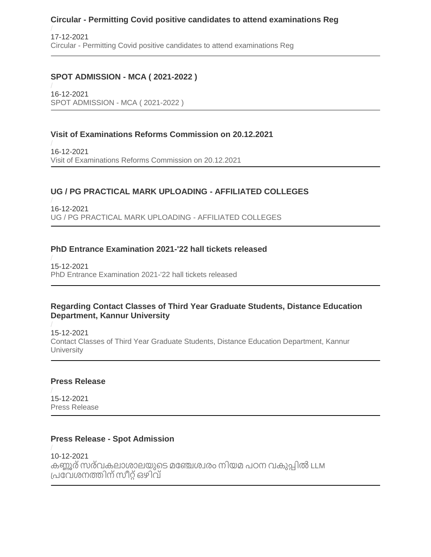### **Circular - Permitting Covid positive candidates to attend examinations Reg**

17-12-2021 Circular - [Permitting Covid positive candidates to attend examinations Reg](https://kannuruniversity.ac.in/media/documents/circular-covid-exam.pdf)

### **SPOT ADMISSION - MCA ( 2021-2022 )**

16-12-2021 [SPOT ADMISSION -](https://kannuruniversity.ac.in/media/documents/16-12-2021_MCA_announcemt-converted.pdf) MCA ( 2021-2022 )

### **Visit of Examinations Reforms Commission on 20.12.2021**

16-12-2021 [Visit of Examinations Reforms Commission on 20.12.2021](https://kannuruniversity.ac.in/media/documents/08.12.2021_kVQafPK.pdf)

### **UG / PG PRACTICAL MARK UPLOADING - AFFILIATED COLLEGES**

16-12-2021 [UG / PG PRACTICAL MARK UPLOADING -](https://kannuruniversity.ac.in/media/documents/16.12.2021.pdf) AFFILIATED COLLEGES

### **PhD Entrance Examination 2021-'22 hall tickets released**

15-12-2021 [PhD Entrance Examination 2021-'22 hall tickets released](https://kannuruniversity.ac.in/media/documents/RD-C1-3701-2021_Press_Release_UHDqMQO.pdf)

#### **Regarding Contact Classes of Third Year Graduate Students, Distance Education Department, Kannur University**

15-12-2021 [Contact Classes of Third Year Graduate Students, Distance Education Department, Kannur](https://kannuruniversity.ac.in/media/documents/ContactClss.pdf)  **[University](https://kannuruniversity.ac.in/media/documents/ContactClss.pdf)** 

#### **Press Release**

15-12-2021 [Press Release](https://kannuruniversity.ac.in/media/documents/Press_release_Date_extension.pdf)

### **Press Release - Spot Admission**

10-12-2021 കണ്ണൂര്സരവ് [കലാശാലയുടെ](https://kannuruniversity.ac.in/media/documents/10-12-2021_announncement-converted.pdf) മഞ്ചേശവരം നിയമ പഠന വകുപ്പിൽ LLM [പ്പഞ്ചവശനത്തിന്സീറ്റ്ഒഴിവ്](https://kannuruniversity.ac.in/media/documents/10-12-2021_announncement-converted.pdf)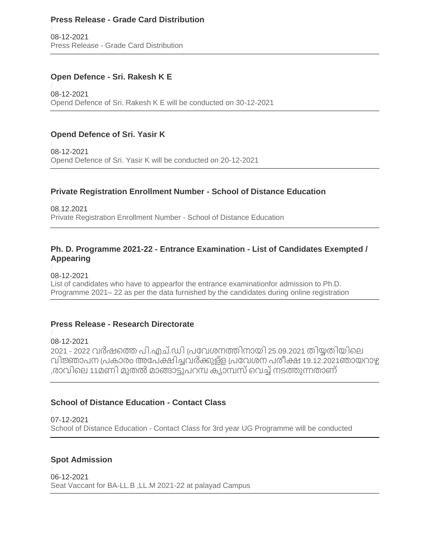#### **Press Release - Grade Card Distribution**

08-12-2021 Press Release - [Grade Card Distribution](https://kannuruniversity.ac.in/media/documents/Press__Release-_Grade_Card_Distribution.pdf)

#### **Open Defence - Sri. Rakesh K E**

08-12-2021 [Opend Defence of Sri. Rakesh K E will be conducted on 30-12-2021](https://kannuruniversity.ac.in/media/documents/RA-PRESS.pdf)

### **Opend Defence of Sri. Yasir K**

08-12-2021 [Opend Defence of Sri. Yasir K will be conducted on 20-12-2021](https://kannuruniversity.ac.in/media/documents/PR-Yasir-1.pdf)

#### **Private Registration Enrollment Number - School of Distance Education**

08.12.2021 [Private Registration Enrollment Number -](https://kannuruniversity.ac.in/media/documents/Private_Registration_Enrolment_no_OfcNVWf.pdf) School of Distance Education

#### **Ph. D. Programme 2021-22 - Entrance Examination - List of Candidates Exempted / Appearing**

08-12-2021

[List of candidates who have to appearfor the entrance examinationfor admission to Ph.D.](https://kannuruniversity.ac.in/media/documents/RD-C1-3701-2021_IV-2-23.pdf)  Programme 2021– [22 as per the data furnished by the candidates during online registration](https://kannuruniversity.ac.in/media/documents/RD-C1-3701-2021_IV-2-23.pdf)

#### **Press Release - Research Directorate**

08-12-2021 2021 - 2022 വർഷത്തെ പി.എച്.ഡി പ്രവേശനത്തിനായി 25.09.2021 തിയ്യതിയിലെ വിജ്ഞാപന [പ്പകാരംഅഞ്ചപക്ഷിച്ചവർക്കുളള്](https://kannuruniversity.ac.in/media/documents/RD-C1-3701-2021_Press_Release.pdf) പ്പഞ്ചവശന പരീക്ഷ19.12.2021ഞായറാഴ്ച ,രാവിലെ 11മണി മുതൽ മാങ്ങാട്ടുപറമ്പ ക്യാമ്പസ് വെച്ച് നടത്തുന്നതാണ്

#### **School of Distance Education - Contact Class**

07-12-2021 School of Distance Education - [Contact Class for 3rd year UG Programme will be conducted](https://kannuruniversity.ac.in/media/documents/Contact_cls.pdf)

#### **Spot Admission**

06-12-2021 [Seat Vaccant for BA-LL.B ,LL.M 2021-22 at palayad Campus](https://kannuruniversity.ac.in/media/documents/06-12-2021-announcement.pdf)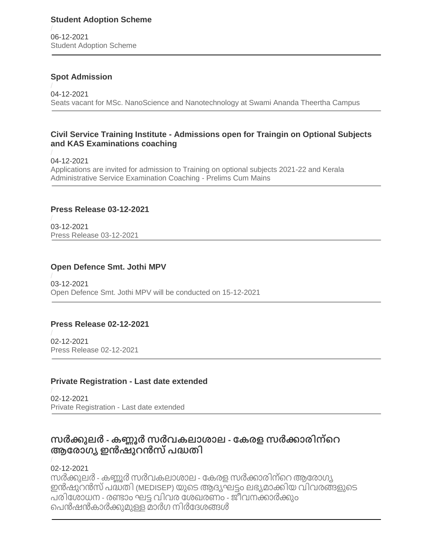06-12-2021 [Student Adoption Scheme](https://kannuruniversity.ac.in/media/documents/STUDENT_ADOPTION_SCHEME_SHORTLISTING.pdf)

### **Spot Admission**

04-12-2021 [Seats vacant for MSc. NanoScience and Nanotechnology at Swami Ananda Theertha Campus](https://kannuruniversity.ac.in/media/documents/04-12-2021-converted.pdf)

#### **Civil Service Training Institute - Admissions open for Traingin on Optional Subjects and KAS Examinations coaching**

04-12-2021 [Applications are invited for admission to Training on optional subjects 2021-22 and Kerala](https://kannuruniversity.ac.in/media/documents/notification_2021-22_OPTIONAL-converted-merged.pdf)  [Administrative Service Examination Coaching -](https://kannuruniversity.ac.in/media/documents/notification_2021-22_OPTIONAL-converted-merged.pdf) Prelims Cum Mains

### **Press Release 03-12-2021**

03-12-2021 [Press Release 03-12-2021](https://kannuruniversity.ac.in/media/documents/press_release_03-12-2021.pdf)

# **Open Defence Smt. Jothi MPV**

03-12-2021 [Open Defence Smt. Jothi MPV will be conducted on 15-12-2021](https://kannuruniversity.ac.in/media/documents/od_jothi.pdf)

### **Press Release 02-12-2021**

02-12-2021 [Press Release 02-12-2021](https://kannuruniversity.ac.in/media/documents/press_release_02-12-2021.pdf)

### **Private Registration - Last date extended**

02-12-2021 [Private Registration -](https://kannuruniversity.ac.in/media/documents/press_private_reg.pdf) Last date extended

# **സർക്കുലർ - കണ്ണൂർ സർവകലാശാല - കകരള സർക്കാരിന്റെ ആകരാഗ്യ ഇൻഷുെൻസ്പദ്ധതി**

### 02-12-2021

സർക്കുലർ - കണ്ണൂർ സർവകലാശാല - കേരള സർക്കാരിന്റെ ആരോഗ്യ [ഇൻഷുറൻസ്പദ്ധതി](https://kannuruniversity.ac.in/media/documents/AD_C2-Circular.pdf) (MEDISEP) യുടെആദ്യഘട്ടം ലഭ്യമാക്കിയ വിവരങ്ങളുടെ പരിഞ്ചശാധന - രണ്ാം ഘട്ട വിവര ഞ്ചശഖരണം - [ജീവനക്കാർക്കും](https://kannuruniversity.ac.in/media/documents/AD_C2-Circular.pdf) [ടപൻഷൻകാർക്കുമുള്ളമാർഗ](https://kannuruniversity.ac.in/media/documents/AD_C2-Circular.pdf) നിർഞ്ചദ്ശങ്ങൾ